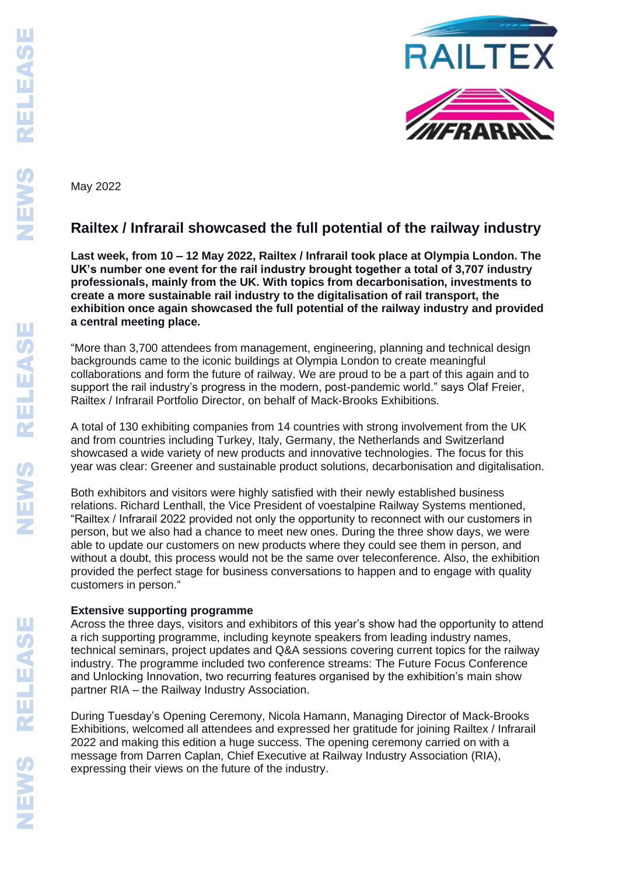

May 2022

# **Railtex / Infrarail showcased the full potential of the railway industry**

**Last week, from 10 – 12 May 2022, Railtex / Infrarail took place at Olympia London. The UK's number one event for the rail industry brought together a total of 3,707 industry professionals, mainly from the UK. With topics from decarbonisation, investments to create a more sustainable rail industry to the digitalisation of rail transport, the exhibition once again showcased the full potential of the railway industry and provided a central meeting place.** 

"More than 3,700 attendees from management, engineering, planning and technical design backgrounds came to the iconic buildings at Olympia London to create meaningful collaborations and form the future of railway. We are proud to be a part of this again and to support the rail industry's progress in the modern, post-pandemic world." says Olaf Freier, Railtex / Infrarail Portfolio Director, on behalf of Mack-Brooks Exhibitions.

A total of 130 exhibiting companies from 14 countries with strong involvement from the UK and from countries including Turkey, Italy, Germany, the Netherlands and Switzerland showcased a wide variety of new products and innovative technologies. The focus for this year was clear: Greener and sustainable product solutions, decarbonisation and digitalisation.

Both exhibitors and visitors were highly satisfied with their newly established business relations. Richard Lenthall, the Vice President of voestalpine Railway Systems mentioned, "Railtex / Infrarail 2022 provided not only the opportunity to reconnect with our customers in person, but we also had a chance to meet new ones. During the three show days, we were able to update our customers on new products where they could see them in person, and without a doubt, this process would not be the same over teleconference. Also, the exhibition provided the perfect stage for business conversations to happen and to engage with quality customers in person."

## **Extensive supporting programme**

Across the three days, visitors and exhibitors of this year's show had the opportunity to attend a rich supporting programme, including keynote speakers from leading industry names, technical seminars, project updates and Q&A sessions covering current topics for the railway industry. The programme included two conference streams: The Future Focus Conference and Unlocking Innovation, two recurring features organised by the exhibition's main show partner RIA – the Railway Industry Association.

During Tuesday's Opening Ceremony, Nicola Hamann, Managing Director of Mack-Brooks Exhibitions, welcomed all attendees and expressed her gratitude for joining Railtex / Infrarail 2022 and making this edition a huge success. The opening ceremony carried on with a message from Darren Caplan, Chief Executive at Railway Industry Association (RIA), expressing their views on the future of the industry.